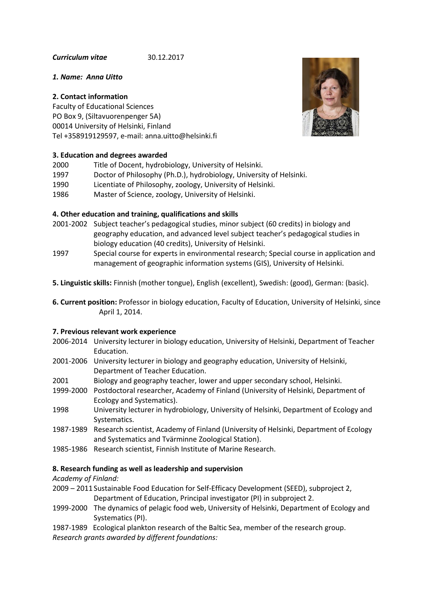*Curriculum vitae* 30.12.2017

## *1. Name: Anna Uitto*

# **2. Contact information**

Faculty of Educational Sciences PO Box 9, (Siltavuorenpenger 5A) 00014 University of Helsinki, Finland Tel +358919129597, e-mail: anna.uitto@helsinki.fi

# **3. Education and degrees awarded**



- 1997 Doctor of Philosophy (Ph.D.), hydrobiology, University of Helsinki.
- 1990 Licentiate of Philosophy, zoology, University of Helsinki.
- 1986 Master of Science, zoology, University of Helsinki.

# **4. Other education and training, qualifications and skills**

- 2001-2002 Subject teacher's pedagogical studies, minor subject (60 credits) in biology and geography education, and advanced level subject teacher's pedagogical studies in biology education (40 credits), University of Helsinki.
- 1997 Special course for experts in environmental research; Special course in application and management of geographic information systems (GIS), University of Helsinki.
- **5. Linguistic skills:** Finnish (mother tongue), English (excellent), Swedish: (good), German: (basic).
- **6. Current position:** Professor in biology education, Faculty of Education, University of Helsinki, since April 1, 2014.

### **7. Previous relevant work experience**

- 2006-2014 University lecturer in biology education, University of Helsinki, Department of Teacher Education.
- 2001-2006 University lecturer in biology and geography education, University of Helsinki, Department of Teacher Education.
- 2001 Biology and geography teacher, lower and upper secondary school, Helsinki.
- 1999-2000 Postdoctoral researcher, Academy of Finland (University of Helsinki, Department of Ecology and Systematics).
- 1998 University lecturer in hydrobiology, University of Helsinki, Department of Ecology and Systematics.
- 1987-1989 Research scientist, Academy of Finland (University of Helsinki, Department of Ecology and Systematics and Tvärminne Zoological Station).
- 1985-1986 Research scientist, Finnish Institute of Marine Research.

# **8. Research funding as well as leadership and supervision**

*Academy of Finland:*

- 2009 2011 Sustainable Food Education for Self-Efficacy Development (SEED), subproject 2, Department of Education, Principal investigator (PI) in subproject 2.
- 1999-2000 The dynamics of pelagic food web, University of Helsinki, Department of Ecology and Systematics (PI).
- 1987-1989 Ecological plankton research of the Baltic Sea, member of the research group.

*Research grants awarded by different foundations:*

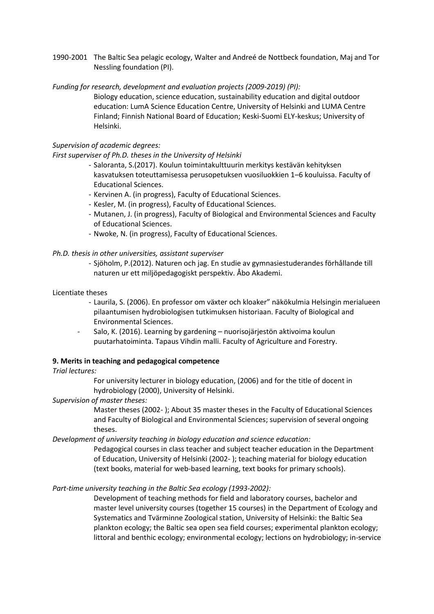1990-2001 The Baltic Sea pelagic ecology, Walter and Andreé de Nottbeck foundation, Maj and Tor Nessling foundation (PI).

*Funding for research, development and evaluation projects (2009-2019) (PI):*

Biology education, science education, sustainability education and digital outdoor education: LumA Science Education Centre, University of Helsinki and LUMA Centre Finland; Finnish National Board of Education; Keski-Suomi ELY-keskus; University of Helsinki.

## *Supervision of academic degrees:*

## *First superviser of Ph.D. theses in the University of Helsinki*

- Saloranta, S.(2017). Koulun toimintakulttuurin merkitys kestävän kehityksen kasvatuksen toteuttamisessa perusopetuksen vuosiluokkien 1–6 kouluissa. Faculty of Educational Sciences.
- Kervinen A. (in progress), Faculty of Educational Sciences.
- Kesler, M. (in progress), Faculty of Educational Sciences.
- Mutanen, J. (in progress), Faculty of Biological and Environmental Sciences and Faculty of Educational Sciences.
- Nwoke, N. (in progress), Faculty of Educational Sciences.

*Ph.D. thesis in other universities, assistant superviser*

- Sjöholm, P.(2012). Naturen och jag. En studie av gymnasiestuderandes förhållande till naturen ur ett miljöpedagogiskt perspektiv. Åbo Akademi.

### Licentiate theses

- Laurila, S. (2006). En professor om växter och kloaker" näkökulmia Helsingin merialueen pilaantumisen hydrobiologisen tutkimuksen historiaan. Faculty of Biological and Environmental Sciences.
- Salo, K. (2016). Learning by gardening nuorisojärjestön aktivoima koulun puutarhatoiminta. Tapaus Vihdin malli. Faculty of Agriculture and Forestry.

## **9. Merits in teaching and pedagogical competence**

### *Trial lectures:*

For university lecturer in biology education, (2006) and for the title of docent in hydrobiology (2000), University of Helsinki.

*Supervision of master theses:*

Master theses (2002- ); About 35 master theses in the Faculty of Educational Sciences and Faculty of Biological and Environmental Sciences; supervision of several ongoing theses.

*Development of university teaching in biology education and science education:*

Pedagogical courses in class teacher and subject teacher education in the Department of Education, University of Helsinki (2002- ); teaching material for biology education (text books, material for web-based learning, text books for primary schools).

### *Part-time university teaching in the Baltic Sea ecology (1993-2002):*

Development of teaching methods for field and laboratory courses, bachelor and master level university courses (together 15 courses) in the Department of Ecology and Systematics and Tvärminne Zoological station, University of Helsinki: the Baltic Sea plankton ecology; the Baltic sea open sea field courses; experimental plankton ecology; littoral and benthic ecology; environmental ecology; lections on hydrobiology; in-service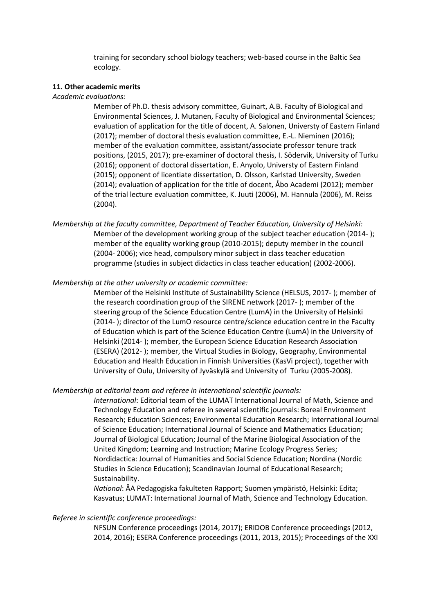training for secondary school biology teachers; web-based course in the Baltic Sea ecology.

#### **11. Other academic merits**

#### *Academic evaluations:*

Member of Ph.D. thesis advisory committee, Guinart, A.B. Faculty of Biological and Environmental Sciences, J. Mutanen, Faculty of Biological and Environmental Sciences; evaluation of application for the title of docent, A. Salonen, Universty of Eastern Finland (2017); member of doctoral thesis evaluation committee, E.-L. Nieminen (2016); member of the evaluation committee, assistant/associate professor tenure track positions, (2015, 2017); pre-examiner of doctoral thesis, I. Södervik, University of Turku (2016); opponent of doctoral dissertation, E. Anyolo, Universty of Eastern Finland (2015); opponent of licentiate dissertation, D. Olsson, Karlstad University, Sweden (2014); evaluation of application for the title of docent, Åbo Academi (2012); member of the trial lecture evaluation committee, K. Juuti (2006), M. Hannula (2006), M. Reiss (2004).

*Membership at the faculty committee, Department of Teacher Education, University of Helsinki:* Member of the development working group of the subject teacher education (2014- ); member of the equality working group (2010-2015); deputy member in the council (2004- 2006); vice head, compulsory minor subject in class teacher education programme (studies in subject didactics in class teacher education) (2002-2006).

#### *Membership at the other university or academic committee:*

Member of the Helsinki Institute of Sustainability Science (HELSUS, 2017- ); member of the research coordination group of the SIRENE network (2017- ); member of the steering group of the Science Education Centre (LumA) in the University of Helsinki (2014- ); director of the LumO resource centre/science education centre in the Faculty of Education which is part of the Science Education Centre (LumA) in the University of Helsinki (2014- ); member, the European Science Education Research Association (ESERA) (2012- ); member, the Virtual Studies in Biology, Geography, Environmental Education and Health Education in Finnish Universities (KasVi project), together with University of Oulu, University of Jyväskylä and University of Turku (2005-2008).

#### *Membership at editorial team and referee in international scientific journals:*

*International*: Editorial team of the LUMAT International Journal of Math, Science and Technology Education and referee in several scientific journals: Boreal Environment Research; Education Sciences; Environmental Education Research; International Journal of Science Education; International Journal of Science and Mathematics Education; Journal of Biological Education; Journal of the Marine Biological Association of the United Kingdom; Learning and Instruction; Marine Ecology Progress Series; Nordidactica: Journal of Humanities and Social Science Education; Nordina (Nordic Studies in Science Education); Scandinavian Journal of Educational Research; Sustainability.

*National*: ÅA Pedagogiska fakulteten Rapport; Suomen ympäristö, Helsinki: Edita; Kasvatus; LUMAT: International Journal of Math, Science and Technology Education.

#### *Referee in scientific conference proceedings:*

NFSUN Conference proceedings (2014, 2017); ERIDOB Conference proceedings (2012, 2014, 2016); ESERA Conference proceedings (2011, 2013, 2015); Proceedings of the XXI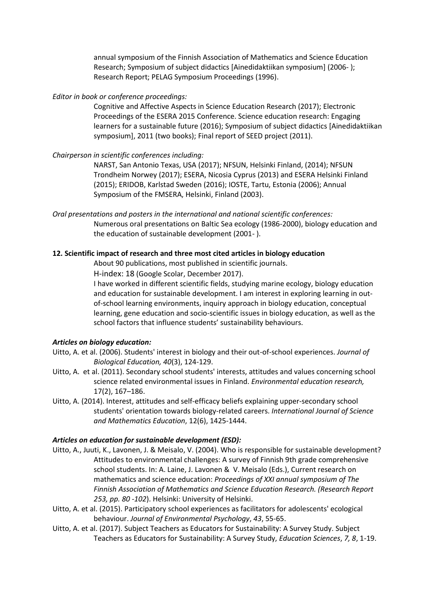annual symposium of the Finnish Association of Mathematics and Science Education Research; Symposium of subject didactics [Ainedidaktiikan symposium] (2006- ); Research Report; PELAG Symposium Proceedings (1996).

*Editor in book or conference proceedings:*

Cognitive and Affective Aspects in Science Education Research (2017); Electronic Proceedings of the ESERA 2015 Conference. Science education research: Engaging learners for a sustainable future (2016); Symposium of subject didactics [Ainedidaktiikan symposium], 2011 (two books); Final report of SEED project (2011).

## *Chairperson in scientific conferences including:*

NARST, San Antonio Texas, USA (2017); NFSUN, Helsinki Finland, (2014); NFSUN Trondheim Norwey (2017); ESERA, Nicosia Cyprus (2013) and ESERA Helsinki Finland (2015); ERIDOB, Karlstad Sweden (2016); IOSTE, Tartu, Estonia (2006); Annual Symposium of the FMSERA, Helsinki, Finland (2003).

*Oral presentations and posters in the international and national scientific conferences:* Numerous oral presentations on Baltic Sea ecology (1986-2000), biology education and the education of sustainable development (2001- ).

## **12. Scientific impact of research and three most cited articles in biology education**

About 90 publications, most published in scientific journals.

H-index: 18 (Google Scolar, December 2017).

I have worked in different scientific fields, studying marine ecology, biology education and education for sustainable development. I am interest in exploring learning in outof-school learning environments, inquiry approach in biology education, conceptual learning, gene education and socio-scientific issues in biology education, as well as the school factors that influence students' sustainability behaviours.

### *Articles on biology education:*

- Uitto, A. et al. (2006). Students' interest in biology and their out-of-school experiences. *Journal of Biological Education, 40*(3), 124-129.
- Uitto, A. et al. (2011). Secondary school students' interests, attitudes and values concerning school science related environmental issues in Finland. *Environmental education research,* 17(2), 167–186.
- Uitto, A. (2014). Interest, attitudes and self-efficacy beliefs explaining upper-secondary school students' orientation towards biology-related careers. *International Journal of Science and Mathematics Education*, 12(6), 1425-1444.

# *Articles on education for sustainable development (ESD):*

- Uitto, A., Juuti, K., Lavonen, J. & Meisalo, V. (2004). Who is responsible for sustainable development? Attitudes to environmental challenges: A survey of Finnish 9th grade comprehensive school students. In: A. Laine, J. Lavonen & V. Meisalo (Eds.), Current research on mathematics and science education: *Proceedings of XXI annual symposium of The Finnish Association of Mathematics and Science Education Research. (Research Report 253, pp. 80 -102*). Helsinki: University of Helsinki.
- Uitto, A. et al. (2015). Participatory school experiences as facilitators for adolescents' ecological behaviour. *Journal of Environmental Psychology*, *43*, 55-65.
- Uitto, A. et al. (2017). Subject Teachers as Educators for Sustainability: A Survey Study. Subject Teachers as Educators for Sustainability: A Survey Study, *Education Sciences*, *7, 8*, 1-19.